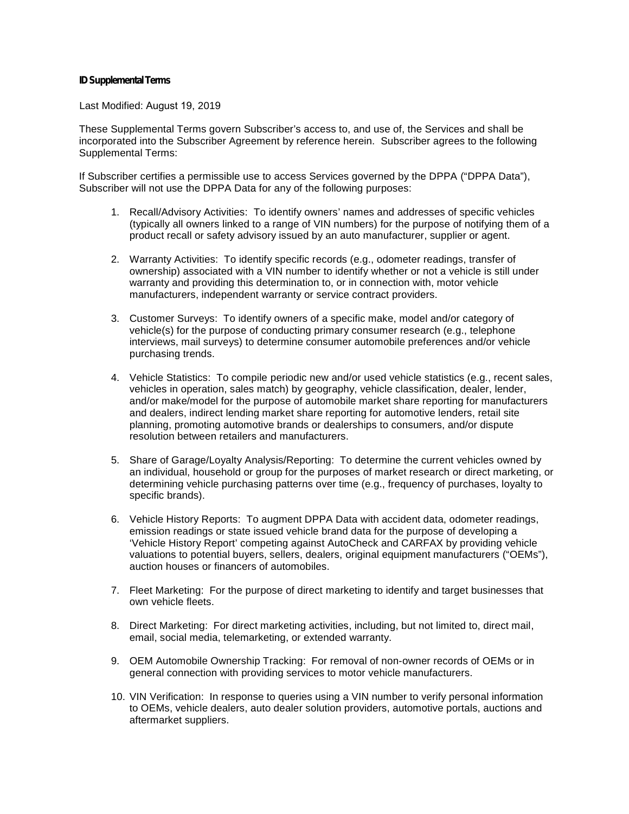## **ID Supplemental Terms**

Last Modified: August 19, 201<sup>9</sup>

These Supplemental Terms govern Subscriber's access to, and use of, the Services and shall be incorporated into the Subscriber Agreement by reference herein. Subscriber agrees to the following Supplemental Terms:

If Subscriber certifies a permissible use to access Services governed by the DPPA ("DPPA Data"), Subscriber will not use the DPPA Data for any of the following purposes:

- 1. Recall/Advisory Activities: To identify owners' names and addresses of specific vehicles (typically all owners linked to a range of VIN numbers) for the purpose of notifying them of a product recall or safety advisory issued by an auto manufacturer, supplier or agent.
- 2. Warranty Activities: To identify specific records (e.g., odometer readings, transfer of ownership) associated with a VIN number to identify whether or not a vehicle is still under warranty and providing this determination to, or in connection with, motor vehicle manufacturers, independent warranty or service contract providers.
- 3. Customer Surveys: To identify owners of a specific make, model and/or category of vehicle(s) for the purpose of conducting primary consumer research (e.g., telephone interviews, mail surveys) to determine consumer automobile preferences and/or vehicle purchasing trends. 4. Customer Surveys: To identity owners of a specific make, model and/or category of<br>
vehicle(s) for the purpose of conducting primary consumer research (e.g., telephone<br>
interviews, mail surveys) to determine consumer aut
- and/or make/model for the purpose of automobile market share reporting for manufacturers and dealers, indirect lending market share reporting for automotive lenders, retail site planning, promoting automotive brands or dealerships to consumers, and/or dispute resolution between retailers and manufacturers.
- 5. Share of Garage/Loyalty Analysis/Reporting: To determine the current vehicles owned by an individual, household or group for the purposes of market research or direct marketing, or determining vehicle purchasing patterns over time (e.g., frequency of purchases, loyalty to specific brands).
- 6. Vehicle History Reports: To augment DPPA Data with accident data, odometer readings, emission readings or state issued vehicle brand data for the purpose of developing a 'Vehicle History Report' competing against AutoCheck and CARFAX by providing vehicle valuations to potential buyers, sellers, dealers, original equipment manufacturers ("OEMs"), auction houses or financers of automobiles.
- 7. Fleet Marketing: For the purpose of direct marketing to identify and target businesses that own vehicle fleets.
- 8. Direct Marketing: For direct marketing activities, including, but not limited to, direct mail, email, social media, telemarketing, or extended warranty.
- 9. OEM Automobile Ownership Tracking: For removal of non-owner records of OEMs or in general connection with providing services to motor vehicle manufacturers.
- 10. VIN Verification: In response to queries using a VIN number to verify personal information to OEMs, vehicle dealers, auto dealer solution providers, automotive portals, auctions and aftermarket suppliers.